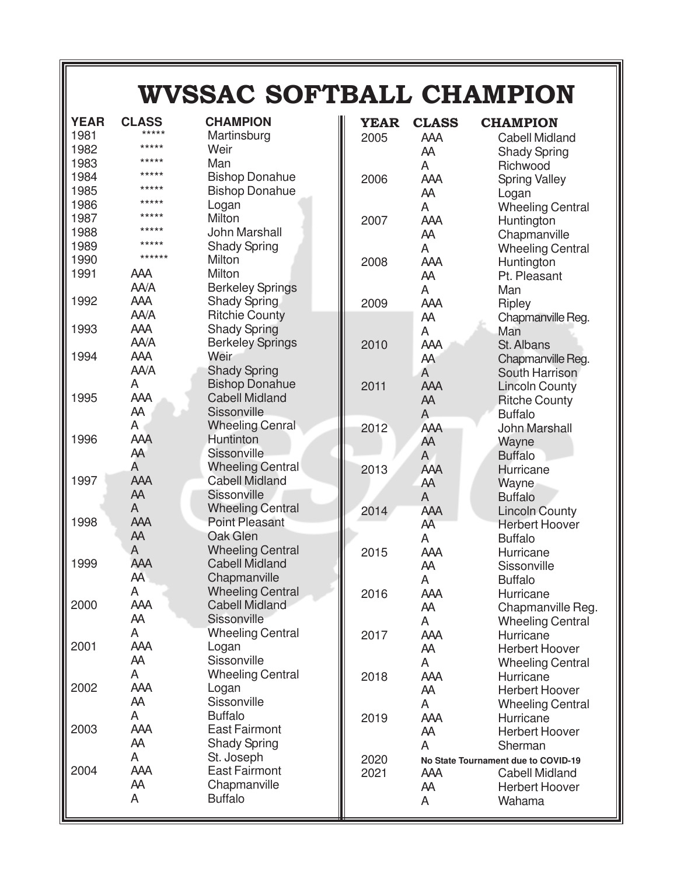## **WVSSAC SOFTBALL CHAMPION**

| <b>YEAR</b> | <b>CLASS</b> | <b>CHAMPION</b>         | <b>YEAR</b> | <b>CLASS</b>   | <b>CHAMPION</b>                     |
|-------------|--------------|-------------------------|-------------|----------------|-------------------------------------|
| 1981        | *****        | Martinsburg             | 2005        | <b>AAA</b>     | <b>Cabell Midland</b>               |
| 1982        | *****        | Weir                    |             | AA             | <b>Shady Spring</b>                 |
| 1983        | *****        | Man                     |             | A              | Richwood                            |
| 1984        | *****        | <b>Bishop Donahue</b>   | 2006        | <b>AAA</b>     | <b>Spring Valley</b>                |
| 1985        | *****        | <b>Bishop Donahue</b>   |             | AA             | Logan                               |
| 1986        | *****        | Logan                   |             | A              | <b>Wheeling Central</b>             |
| 1987        | *****        | Milton                  | 2007        | AAA            | Huntington                          |
| 1988        | *****        | John Marshall           |             | AA             | Chapmanville                        |
| 1989        | *****        | <b>Shady Spring</b>     |             | A              | <b>Wheeling Central</b>             |
| 1990        | ******       | Milton                  | 2008        | AAA            | Huntington                          |
| 1991        | <b>AAA</b>   | Milton                  |             | AA             | Pt. Pleasant                        |
|             | AA/A         | <b>Berkeley Springs</b> |             | A              | Man                                 |
| 1992        | <b>AAA</b>   | <b>Shady Spring</b>     | 2009        | AAA            | Ripley                              |
|             | AA/A         | <b>Ritchie County</b>   |             | AA             | Chapmanville Reg.                   |
| 1993        | AAA          | <b>Shady Spring</b>     |             | A              | Man                                 |
|             | AA/A         | <b>Berkeley Springs</b> | 2010        | AAA            | St. Albans                          |
| 1994        | <b>AAA</b>   | Weir                    |             | AA             | Chapmanville Reg.                   |
|             | AA/A         | <b>Shady Spring</b>     |             | A              | South Harrison                      |
|             | Α            | <b>Bishop Donahue</b>   | 2011        | AAA            | <b>Lincoln County</b>               |
| 1995        | AAA          | <b>Cabell Midland</b>   |             | AA             | <b>Ritche County</b>                |
|             | AA           | Sissonville             |             | $\overline{A}$ | <b>Buffalo</b>                      |
|             | A            | <b>Wheeling Cenral</b>  | 2012        | AAA            | John Marshall                       |
| 1996        | AAĀ          | Huntinton               |             | AA             | Wayne                               |
|             | AA           | Sissonville             |             | $\mathsf{A}$   | <b>Buffalo</b>                      |
|             | A            | <b>Wheeling Central</b> | 2013        | AAA            | Hurricane                           |
| 1997        | <b>AAA</b>   | <b>Cabell Midland</b>   |             | AA             | Wayne                               |
|             | AA           | Sissonville             |             | A              | <b>Buffalo</b>                      |
|             | A            | <b>Wheeling Central</b> | 2014        | AAA            | <b>Lincoln County</b>               |
| 1998        | AAA          | <b>Point Pleasant</b>   |             | AA             | <b>Herbert Hoover</b>               |
|             | AA           | Oak Glen                |             | A              | <b>Buffalo</b>                      |
|             | A            | <b>Wheeling Central</b> | 2015        | AAA            | Hurricane                           |
| 1999        | AAA          | <b>Cabell Midland</b>   |             | AA             | Sissonville                         |
|             | AA           | Chapmanville            |             | A              | <b>Buffalo</b>                      |
|             | А            | <b>Wheeling Central</b> | 2016        | AAA            | Hurricane                           |
| 2000        | AAA          | <b>Cabell Midland</b>   |             | AA             | <b>Chapmanville Reg</b>             |
|             | AA           | Sissonville             |             | A              | <b>Wheeling Central</b>             |
|             | A            | <b>Wheeling Central</b> | 2017        | AAA            | Hurricane                           |
| 2001        | AAA          | Logan                   |             | AA             | <b>Herbert Hoover</b>               |
|             | AA           | Sissonville             |             | A              | <b>Wheeling Central</b>             |
|             | A            | <b>Wheeling Central</b> | 2018        | <b>AAA</b>     | Hurricane                           |
| 2002        | AAA          | Logan                   |             | AA             | <b>Herbert Hoover</b>               |
|             | AA           | Sissonville             |             | A              | <b>Wheeling Central</b>             |
|             | A            | <b>Buffalo</b>          | 2019        | AAA            | Hurricane                           |
| 2003        | AAA          | <b>East Fairmont</b>    |             | AA             | <b>Herbert Hoover</b>               |
|             | AA           | <b>Shady Spring</b>     |             | A              | Sherman                             |
|             | A            | St. Joseph              | 2020        |                | No State Tournament due to COVID-19 |
| 2004        | AAA          | <b>East Fairmont</b>    | 2021        | <b>AAA</b>     | <b>Cabell Midland</b>               |
|             | AA           | Chapmanville            |             | AA             | <b>Herbert Hoover</b>               |
|             | A            | <b>Buffalo</b>          |             | A              | Wahama                              |
|             |              |                         |             |                |                                     |